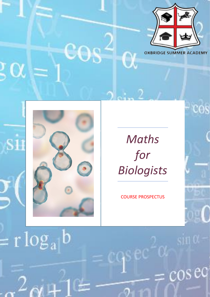



 $= r \log_a b$ 

# *Maths for Biologists*

COURSE PROSPECTUS

 $\mathrm{ec}^{\omega}\alpha$ 



 $cos$ eq

cos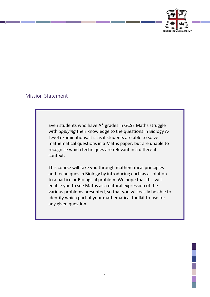

#### Mission Statement

Even students who have A\* grades in GCSE Maths struggle with *applying* their knowledge to the questions in Biology A-Level examinations. It is as if students are able to solve mathematical questions in a Maths paper, but are unable to recognise which techniques are relevant in a different context.

This course will take you through mathematical principles and techniques in Biology by introducing each as a solution to a particular Biological problem. We hope that this will enable you to see Maths as a natural expression of the various problems presented, so that you will easily be able to identify which part of your mathematical toolkit to use for any given question.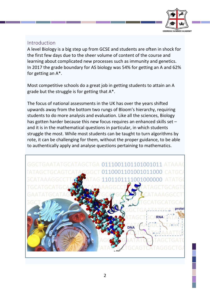

## Introduction

A level Biology is a big step up from GCSE and students are often in shock for the first few days due to the sheer volume of content of the course and learning about complicated new processes such as immunity and genetics. In 2017 the grade boundary for AS biology was 54% for getting an A and 62% for getting an A\*.

Most competitive schools do a great job in getting students to attain an A grade but the struggle is for getting that A\*.

The focus of national assessments in the UK has over the years shifted upwards away from the bottom two rungs of Bloom's hierarchy, requiring students to do more analysis and evaluation. Like all the sciences, Biology has gotten harder because this new focus requires an enhanced skills set – and it is in the mathematical questions in particular, in which students struggle the most. While most students can be taught to turn algorithms by rote, it can be challenging for them, without the proper guidance, to be able to authentically apply and analyse questions pertaining to mathematics.

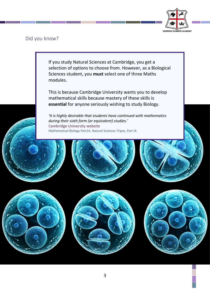

Did you know?

If you study Natural Sciences at Cambridge, you get a selection of options to choose from. However, as a Biological Sciences student, you **must** select one of three Maths modules.

This is because Cambridge University wants you to develop mathematical skills because mastery of these skills is **essential** for anyone seriously wishing to study Biology.

*'It is highly desirable that students have continued with mathematics during their sixth form (or equivalent) studies.'* Cambridge University website Mathematical Biology Part1A, Natural Sciences Tripos, Part IA





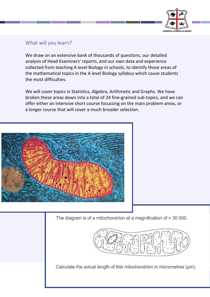

## What will you learn?

We draw on an extensive bank of thousands of questions, our detailed analysis of Head Examiners' reports, and our own data and experience collected from teaching A level Biology in schools, to identify those areas of the mathematical topics in the A level Biology syllabus which cause students the most difficulties.

We will cover topics in Statistics, Algebra, Arithmetic and Graphs. We have broken these areas down into a total of 24 fine-grained sub-topics, and we can offer either an intensive short course focussing on the main problem areas, or a longer course that will cover a much broader selection.



The diagram is of a mitochondrion at a magnification of  $\times$  30 000.



Calculate the actual length of this mitochondrion in micrometres (µm).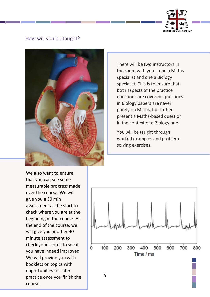

#### How will you be taught?



There will be two instructors in the room with you  $-$  one a Maths specialist and one a Biology specialist. This is to ensure that both aspects of the practice questions are covered: questions in Biology papers are never purely on Maths, but rather, present a Maths-based question in the context of a Biology one.

You will be taught through worked examples and problemsolving exercises.

We also want to ensure that you can see some measurable progress made over the course. We will give you a 30 min assessment at the start to check where you are at the beginning of the course. At the end of the course, we will give you another 30 minute assessment to check your scores to see if you have indeed improved. We will provide you with booklets on topics with opportunities for later practice once you finish the course.

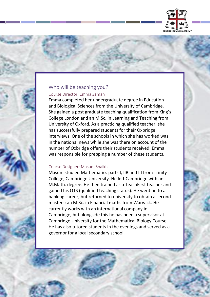

### Who will be teaching you? Course Director: Emma Zaman

Emma completed her undergraduate degree in Education and Biological Sciences from the University of Cambridge. She gained a post graduate teaching qualification from King's College London and an M.Sc. in Learning and Teaching from University of Oxford. As a practicing qualified teacher, she has successfully prepared students for their Oxbridge interviews. One of the schools in which she has worked was in the national news while she was there on account of the number of Oxbridge offers their students received. Emma was responsible for prepping a number of these students.

#### Course Designer: Masum Shaikh

Masum studied Mathematics parts I, IIB and III from Trinity College, Cambridge University. He left Cambridge with an M.Math. degree. He then trained as a TeachFirst teacher and gained his QTS (qualified teaching status). He went on to a banking career, but returned to university to obtain a second masters: an M.Sc. in Financial maths from Warwick. He currently works with an international company in Cambridge, but alongside this he has been a supervisor at Cambridge University for the Mathematical Biology Course. He has also tutored students in the evenings and served as a governor for a local secondary school.

6